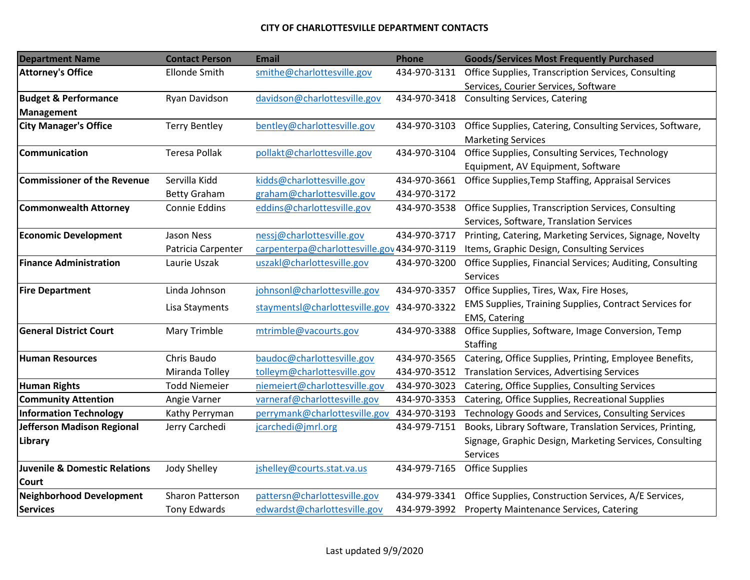## **CITY OF CHARLOTTESVILLE DEPARTMENT CONTACTS**

| <b>Department Name</b>                   | <b>Contact Person</b>   | <b>Email</b>                                 | Phone        | <b>Goods/Services Most Frequently Purchased</b>           |
|------------------------------------------|-------------------------|----------------------------------------------|--------------|-----------------------------------------------------------|
| <b>Attorney's Office</b>                 | <b>Ellonde Smith</b>    | smithe@charlottesville.gov                   | 434-970-3131 | Office Supplies, Transcription Services, Consulting       |
|                                          |                         |                                              |              | Services, Courier Services, Software                      |
| <b>Budget &amp; Performance</b>          | Ryan Davidson           | davidson@charlottesville.gov                 | 434-970-3418 | <b>Consulting Services, Catering</b>                      |
| <b>Management</b>                        |                         |                                              |              |                                                           |
| <b>City Manager's Office</b>             | <b>Terry Bentley</b>    | bentley@charlottesville.gov                  | 434-970-3103 | Office Supplies, Catering, Consulting Services, Software, |
|                                          |                         |                                              |              | <b>Marketing Services</b>                                 |
| <b>Communication</b>                     | <b>Teresa Pollak</b>    | pollakt@charlottesville.gov                  | 434-970-3104 | Office Supplies, Consulting Services, Technology          |
|                                          |                         |                                              |              | Equipment, AV Equipment, Software                         |
| <b>Commissioner of the Revenue</b>       | Servilla Kidd           | kidds@charlottesville.gov                    | 434-970-3661 | Office Supplies, Temp Staffing, Appraisal Services        |
|                                          | <b>Betty Graham</b>     | graham@charlottesville.gov                   | 434-970-3172 |                                                           |
| <b>Commonwealth Attorney</b>             | Connie Eddins           | eddins@charlottesville.gov                   | 434-970-3538 | Office Supplies, Transcription Services, Consulting       |
|                                          |                         |                                              |              | Services, Software, Translation Services                  |
| <b>Economic Development</b>              | Jason Ness              | nessj@charlottesville.gov                    | 434-970-3717 | Printing, Catering, Marketing Services, Signage, Novelty  |
|                                          | Patricia Carpenter      | carpenterpa@charlottesville.gov 434-970-3119 |              | Items, Graphic Design, Consulting Services                |
| <b>Finance Administration</b>            | Laurie Uszak            | uszakl@charlottesville.gov                   | 434-970-3200 | Office Supplies, Financial Services; Auditing, Consulting |
|                                          |                         |                                              |              | Services                                                  |
| <b>Fire Department</b>                   | Linda Johnson           | johnsonl@charlottesville.gov                 | 434-970-3357 | Office Supplies, Tires, Wax, Fire Hoses,                  |
|                                          | Lisa Stayments          | stayments @charlottesville.gov               | 434-970-3322 | EMS Supplies, Training Supplies, Contract Services for    |
|                                          |                         |                                              |              | <b>EMS, Catering</b>                                      |
| <b>General District Court</b>            | Mary Trimble            | mtrimble@vacourts.gov                        | 434-970-3388 | Office Supplies, Software, Image Conversion, Temp         |
|                                          |                         |                                              |              | Staffing                                                  |
| <b>Human Resources</b>                   | Chris Baudo             | baudoc@charlottesville.gov                   | 434-970-3565 | Catering, Office Supplies, Printing, Employee Benefits,   |
|                                          | Miranda Tolley          | tolleym@charlottesville.gov                  | 434-970-3512 | <b>Translation Services, Advertising Services</b>         |
| <b>Human Rights</b>                      | <b>Todd Niemeier</b>    | niemeiert@charlottesville.gov                | 434-970-3023 | Catering, Office Supplies, Consulting Services            |
| <b>Community Attention</b>               | Angie Varner            | varneraf@charlottesville.gov                 | 434-970-3353 | Catering, Office Supplies, Recreational Supplies          |
| <b>Information Technology</b>            | Kathy Perryman          | perrymank@charlottesville.gov                | 434-970-3193 | Technology Goods and Services, Consulting Services        |
| <b>Jefferson Madison Regional</b>        | Jerry Carchedi          | jcarchedi@jmrl.org                           | 434-979-7151 | Books, Library Software, Translation Services, Printing,  |
| <b>Library</b>                           |                         |                                              |              | Signage, Graphic Design, Marketing Services, Consulting   |
|                                          |                         |                                              |              | <b>Services</b>                                           |
| <b>Juvenile &amp; Domestic Relations</b> | Jody Shelley            | jshelley@courts.stat.va.us                   | 434-979-7165 | <b>Office Supplies</b>                                    |
| <b>Court</b>                             |                         |                                              |              |                                                           |
| <b>Neighborhood Development</b>          | <b>Sharon Patterson</b> | pattersn@charlottesville.gov                 | 434-979-3341 | Office Supplies, Construction Services, A/E Services,     |
| <b>Services</b>                          | Tony Edwards            | edwardst@charlottesville.gov                 | 434-979-3992 | Property Maintenance Services, Catering                   |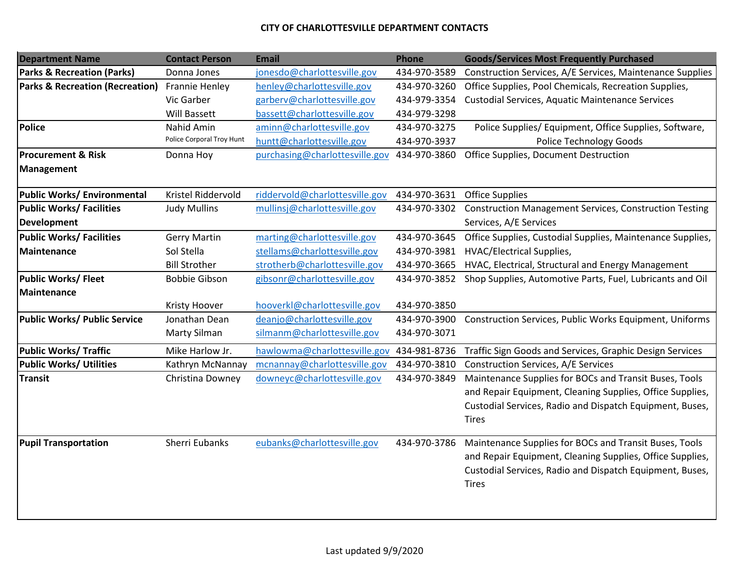## **CITY OF CHARLOTTESVILLE DEPARTMENT CONTACTS**

| <b>Department Name</b>                     | <b>Contact Person</b>     | <b>Email</b>                   | <b>Phone</b> | <b>Goods/Services Most Frequently Purchased</b>               |
|--------------------------------------------|---------------------------|--------------------------------|--------------|---------------------------------------------------------------|
| <b>Parks &amp; Recreation (Parks)</b>      | Donna Jones               | jonesdo@charlottesville.gov    | 434-970-3589 | Construction Services, A/E Services, Maintenance Supplies     |
| <b>Parks &amp; Recreation (Recreation)</b> | <b>Frannie Henley</b>     | henley@charlottesville.gov     | 434-970-3260 | Office Supplies, Pool Chemicals, Recreation Supplies,         |
|                                            | Vic Garber                | garberv@charlottesville.gov    | 434-979-3354 | Custodial Services, Aquatic Maintenance Services              |
|                                            | <b>Will Bassett</b>       | bassett@charlottesville.gov    | 434-979-3298 |                                                               |
| <b>Police</b>                              | Nahid Amin                | aminn@charlottesville.gov      | 434-970-3275 | Police Supplies/ Equipment, Office Supplies, Software,        |
|                                            | Police Corporal Troy Hunt | huntt@charlottesville.gov      | 434-970-3937 | Police Technology Goods                                       |
| <b>Procurement &amp; Risk</b>              | Donna Hoy                 | purchasing@charlottesville.gov | 434-970-3860 | Office Supplies, Document Destruction                         |
| <b>Management</b>                          |                           |                                |              |                                                               |
| Public Works/ Environmental                | Kristel Riddervold        | riddervold@charlottesville.gov | 434-970-3631 | <b>Office Supplies</b>                                        |
| <b>Public Works/ Facilities</b>            | <b>Judy Mullins</b>       | mullinsj@charlottesville.gov   | 434-970-3302 | <b>Construction Management Services, Construction Testing</b> |
| <b>Development</b>                         |                           |                                |              | Services, A/E Services                                        |
| <b>Public Works/ Facilities</b>            | <b>Gerry Martin</b>       | marting@charlottesville.gov    | 434-970-3645 | Office Supplies, Custodial Supplies, Maintenance Supplies,    |
| <b>Maintenance</b>                         | Sol Stella                | stellams@charlottesville.gov   | 434-970-3981 | <b>HVAC/Electrical Supplies,</b>                              |
|                                            | <b>Bill Strother</b>      | strotherb@charlottesville.gov  | 434-970-3665 | HVAC, Electrical, Structural and Energy Management            |
| Public Works/ Fleet                        | <b>Bobbie Gibson</b>      | gibsonr@charlottesville.gov    | 434-970-3852 | Shop Supplies, Automotive Parts, Fuel, Lubricants and Oil     |
| Maintenance                                |                           |                                |              |                                                               |
|                                            | <b>Kristy Hoover</b>      | hooverkl@charlottesville.gov   | 434-970-3850 |                                                               |
| <b>Public Works/ Public Service</b>        | Jonathan Dean             | deanjo@charlottesville.gov     | 434-970-3900 | Construction Services, Public Works Equipment, Uniforms       |
|                                            | Marty Silman              | silmanm@charlottesville.gov    | 434-970-3071 |                                                               |
| <b>Public Works/ Traffic</b>               | Mike Harlow Jr.           | hawlowma@charlottesville.gov   | 434-981-8736 | Traffic Sign Goods and Services, Graphic Design Services      |
| <b>Public Works/ Utilities</b>             | Kathryn McNannay          | mcnannay@charlottesville.gov   | 434-970-3810 | Construction Services, A/E Services                           |
| Transit                                    | Christina Downey          | downeyc@charlottesville.gov    | 434-970-3849 | Maintenance Supplies for BOCs and Transit Buses, Tools        |
|                                            |                           |                                |              | and Repair Equipment, Cleaning Supplies, Office Supplies,     |
|                                            |                           |                                |              | Custodial Services, Radio and Dispatch Equipment, Buses,      |
|                                            |                           |                                |              | <b>Tires</b>                                                  |
| <b>Pupil Transportation</b>                | Sherri Eubanks            | eubanks@charlottesville.gov    | 434-970-3786 | Maintenance Supplies for BOCs and Transit Buses, Tools        |
|                                            |                           |                                |              | and Repair Equipment, Cleaning Supplies, Office Supplies,     |
|                                            |                           |                                |              | Custodial Services, Radio and Dispatch Equipment, Buses,      |
|                                            |                           |                                |              | <b>Tires</b>                                                  |
|                                            |                           |                                |              |                                                               |
|                                            |                           |                                |              |                                                               |